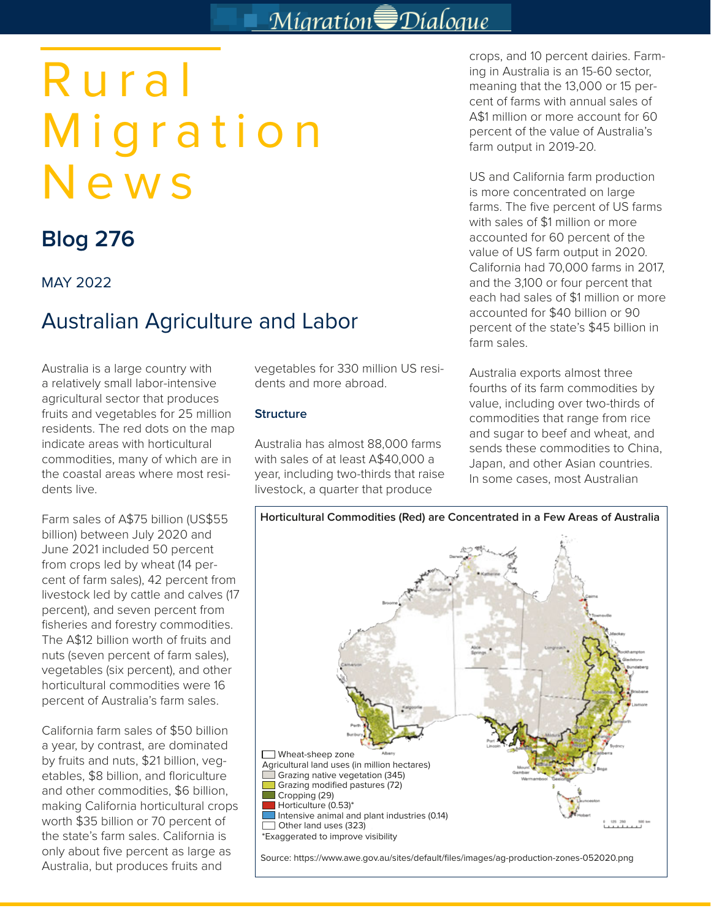# Migration Dialogue

# Rural Migration News

## **Blog 276**

#### MAY 2022

### Australian Agriculture and Labor

Australia is a large country with a relatively small labor-intensive agricultural sector that produces fruits and vegetables for 25 million residents. The red dots on the map indicate areas with horticultural commodities, many of which are in the coastal areas where most residents live.

Farm sales of A\$75 billion (US\$55 billion) between July 2020 and June 2021 included 50 percent from crops led by wheat (14 percent of farm sales), 42 percent from livestock led by cattle and calves (17 percent), and seven percent from fisheries and forestry commodities. The A\$12 billion worth of fruits and nuts (seven percent of farm sales), vegetables (six percent), and other horticultural commodities were 16 percent of Australia's farm sales.

California farm sales of \$50 billion a year, by contrast, are dominated by fruits and nuts, \$21 billion, vegetables, \$8 billion, and floriculture and other commodities, \$6 billion, making California horticultural crops worth \$35 billion or 70 percent of the state's farm sales. California is only about five percent as large as Australia, but produces fruits and

vegetables for 330 million US residents and more abroad.

#### **Structure**

Australia has almost 88,000 farms with sales of at least A\$40,000 a year, including two-thirds that raise livestock, a quarter that produce

crops, and 10 percent dairies. Farming in Australia is an 15-60 sector, meaning that the 13,000 or 15 percent of farms with annual sales of A\$1 million or more account for 60 percent of the value of Australia's farm output in 2019-20.

US and California farm production is more concentrated on large farms. The five percent of US farms with sales of \$1 million or more accounted for 60 percent of the value of US farm output in 2020. California had 70,000 farms in 2017, and the 3,100 or four percent that each had sales of \$1 million or more accounted for \$40 billion or 90 percent of the state's \$45 billion in farm sales.

Australia exports almost three fourths of its farm commodities by value, including over two-thirds of commodities that range from rice and sugar to beef and wheat, and sends these commodities to China, Japan, and other Asian countries. In some cases, most Australian

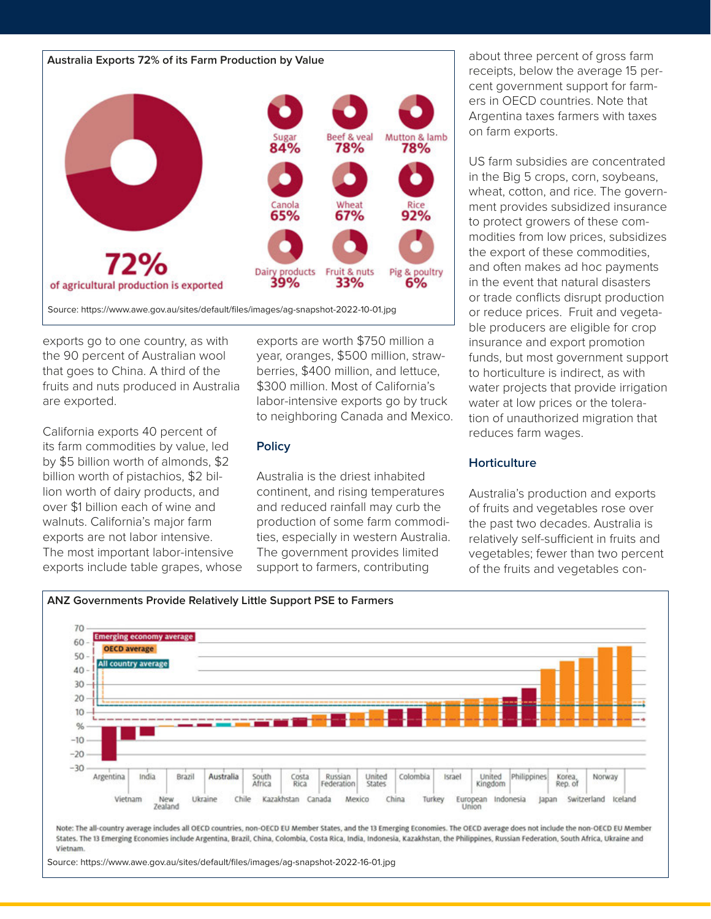



Source: https://www.awe.gov.au/sites/default/files/images/ag-snapshot-2022-10-01.jpg

exports go to one country, as with the 90 percent of Australian wool that goes to China. A third of the fruits and nuts produced in Australia are exported.

California exports 40 percent of its farm commodities by value, led by \$5 billion worth of almonds, \$2 billion worth of pistachios, \$2 billion worth of dairy products, and over \$1 billion each of wine and walnuts. California's major farm exports are not labor intensive. The most important labor-intensive exports include table grapes, whose exports are worth \$750 million a year, oranges, \$500 million, strawberries, \$400 million, and lettuce, \$300 million. Most of California's labor-intensive exports go by truck to neighboring Canada and Mexico.

#### **Policy**

Australia is the driest inhabited continent, and rising temperatures and reduced rainfall may curb the production of some farm commodities, especially in western Australia. The government provides limited support to farmers, contributing

about three percent of gross farm receipts, below the average 15 percent government support for farmers in OECD countries. Note that Argentina taxes farmers with taxes on farm exports.

US farm subsidies are concentrated in the Big 5 crops, corn, soybeans, wheat, cotton, and rice. The government provides subsidized insurance to protect growers of these commodities from low prices, subsidizes the export of these commodities, and often makes ad hoc payments in the event that natural disasters or trade conflicts disrupt production or reduce prices. Fruit and vegetable producers are eligible for crop insurance and export promotion funds, but most government support to horticulture is indirect, as with water projects that provide irrigation water at low prices or the toleration of unauthorized migration that reduces farm wages.

#### **Horticulture**

Australia's production and exports of fruits and vegetables rose over the past two decades. Australia is relatively self-sufficient in fruits and vegetables; fewer than two percent of the fruits and vegetables con-



Note: The all-country average includes all OECD countries, non-OECD EU Member States, and the 13 Emerging Economies. The OECD average does not include the non-OECD EU Member States. The 13 Emerging Economies include Argentina, Brazil, China, Colombia, Costa Rica, India, Indonesia, Kazakhstan, the Philippines, Russian Federation, South Africa, Ukraine and Vietnam.

Source: https://www.awe.gov.au/sites/default/files/images/ag-snapshot-2022-16-01.jpg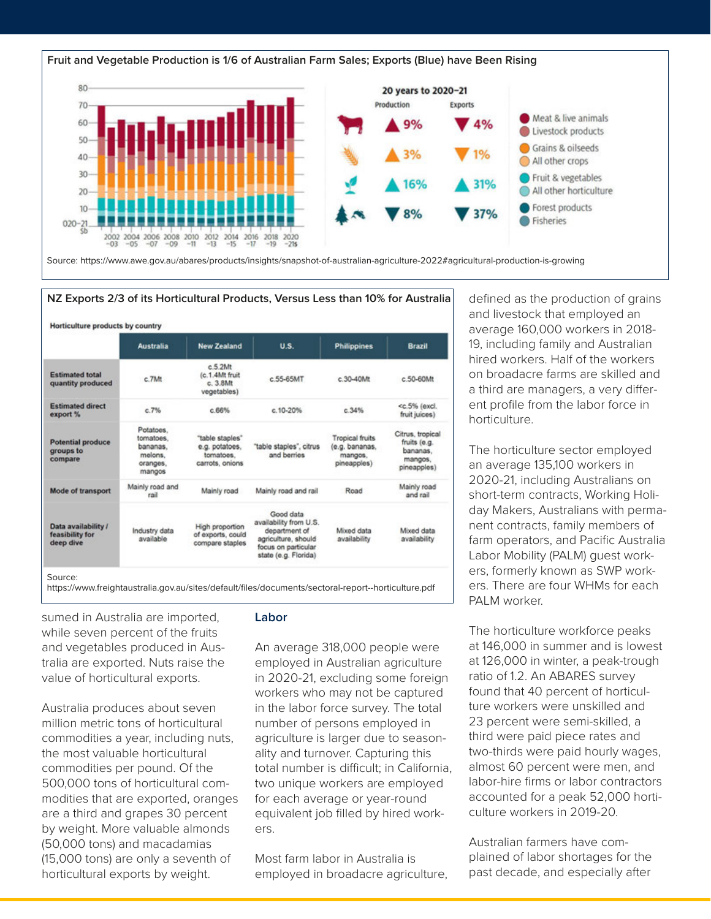



|                                                     | <b>Australia</b>                                                    | <b>New Zealand</b>                                                | U.S.                                                                                                                       | <b>Philippines</b>                                                 | <b>Brazil</b>                                                          |  |
|-----------------------------------------------------|---------------------------------------------------------------------|-------------------------------------------------------------------|----------------------------------------------------------------------------------------------------------------------------|--------------------------------------------------------------------|------------------------------------------------------------------------|--|
| <b>Estimated total</b><br>quantity produced         | c.7Mt                                                               | c.5.2Mt<br>(c.1.4Mt fruit<br>c 55-65MT<br>c.3.8Mt<br>vegetables)  |                                                                                                                            | $c.30-40$ Mt                                                       | c 50-60Mt                                                              |  |
| <b>Estimated direct</b><br>export %                 | c.7%                                                                | c.66%                                                             | $c.10 - 20%$                                                                                                               | c.34%                                                              | <c.5% (excl.<br="">fruit juices)</c.5%>                                |  |
| <b>Potential produce</b><br>groups to<br>compare    | Potatoes.<br>tomatoes.<br>bananas.<br>melons.<br>oranges.<br>mangos | "table staples"<br>e.g. potatoes.<br>tomatoes.<br>carrots, onions | "table staples", citrus<br>and berries                                                                                     | <b>Tropical fruits</b><br>(e.g. bananas,<br>mangos.<br>pineapples) | Citrus, tropical<br>fruits (e.g.<br>bananas.<br>mangos,<br>pineapples) |  |
| <b>Mode of transport</b>                            | Mainly road and<br>rail                                             | Mainly road                                                       | Mainly road and rail                                                                                                       | Road                                                               | Mainly road<br>and rail                                                |  |
| Data availability /<br>feasibility for<br>deep dive | Industry data<br>available                                          | High proportion<br>of exports, could<br>compare staples           | Good data<br>availability from U.S.<br>department of<br>agriculture, should<br>focus on particular<br>state (e.g. Florida) | Mixed data<br>availability                                         | Mixed data<br>availability                                             |  |

sumed in Australia are imported, while seven percent of the fruits and vegetables produced in Australia are exported. Nuts raise the value of horticultural exports.

Australia produces about seven million metric tons of horticultural commodities a year, including nuts, the most valuable horticultural commodities per pound. Of the 500,000 tons of horticultural commodities that are exported, oranges are a third and grapes 30 percent by weight. More valuable almonds (50,000 tons) and macadamias (15,000 tons) are only a seventh of horticultural exports by weight.

#### **Labor**

An average 318,000 people were employed in Australian agriculture in 2020-21, excluding some foreign workers who may not be captured in the labor force survey. The total number of persons employed in agriculture is larger due to seasonality and turnover. Capturing this total number is difficult; in California, two unique workers are employed for each average or year-round equivalent job filled by hired workers.

Most farm labor in Australia is employed in broadacre agriculture, defined as the production of grains and livestock that employed an average 160,000 workers in 2018- 19, including family and Australian hired workers. Half of the workers on broadacre farms are skilled and a third are managers, a very different profile from the labor force in horticulture.

The horticulture sector employed an average 135,100 workers in 2020-21, including Australians on short-term contracts, Working Holiday Makers, Australians with permanent contracts, family members of farm operators, and Pacific Australia Labor Mobility (PALM) guest workers, formerly known as SWP workers. There are four WHMs for each PALM worker.

The horticulture workforce peaks at 146,000 in summer and is lowest at 126,000 in winter, a peak-trough ratio of 1.2. An ABARES survey found that 40 percent of horticulture workers were unskilled and 23 percent were semi-skilled, a third were paid piece rates and two-thirds were paid hourly wages, almost 60 percent were men, and labor-hire firms or labor contractors accounted for a peak 52,000 horticulture workers in 2019-20.

Australian farmers have complained of labor shortages for the past decade, and especially after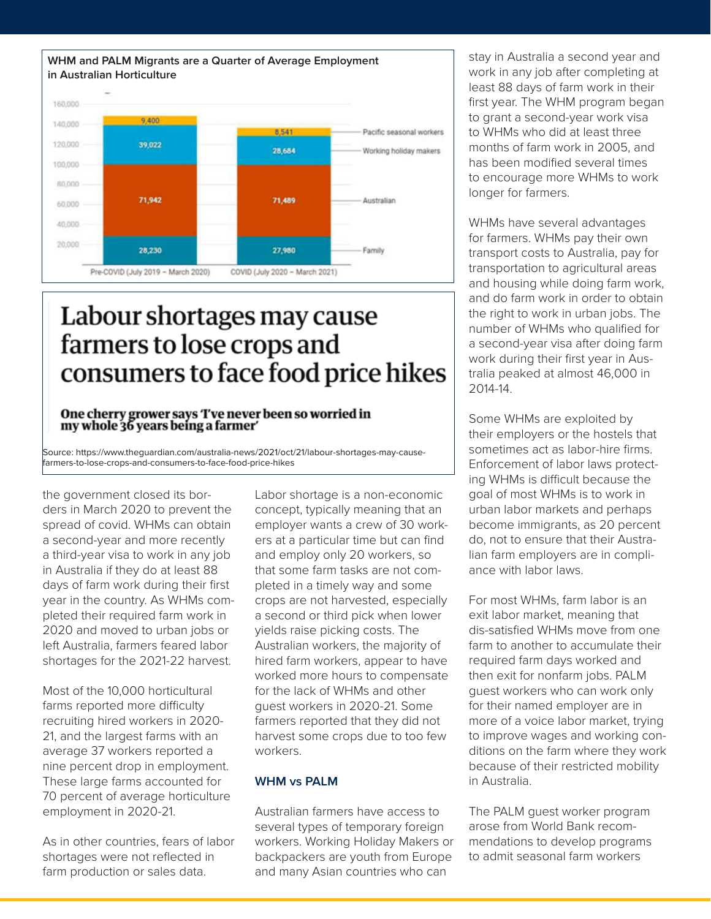

## Labour shortages may cause farmers to lose crops and consumers to face food price hikes

#### One cherry grower says 'I've never been so worried in my whole 36 years being a farmer

Source: https://www.theguardian.com/australia-news/2021/oct/21/labour-shortages-may-causefarmers-to-lose-crops-and-consumers-to-face-food-price-hikes

the government closed its borders in March 2020 to prevent the spread of covid. WHMs can obtain a second-year and more recently a third-year visa to work in any job in Australia if they do at least 88 days of farm work during their first year in the country. As WHMs completed their required farm work in 2020 and moved to urban jobs or left Australia, farmers feared labor shortages for the 2021-22 harvest.

Most of the 10,000 horticultural farms reported more difficulty recruiting hired workers in 2020- 21, and the largest farms with an average 37 workers reported a nine percent drop in employment. These large farms accounted for 70 percent of average horticulture employment in 2020-21.

As in other countries, fears of labor shortages were not reflected in farm production or sales data.

Labor shortage is a non-economic concept, typically meaning that an employer wants a crew of 30 workers at a particular time but can find and employ only 20 workers, so that some farm tasks are not completed in a timely way and some crops are not harvested, especially a second or third pick when lower yields raise picking costs. The Australian workers, the majority of hired farm workers, appear to have worked more hours to compensate for the lack of WHMs and other guest workers in 2020-21. Some farmers reported that they did not harvest some crops due to too few workers.

#### **WHM vs PALM**

Australian farmers have access to several types of temporary foreign workers. Working Holiday Makers or backpackers are youth from Europe and many Asian countries who can

stay in Australia a second year and work in any job after completing at least 88 days of farm work in their first year. The WHM program began to grant a second-year work visa to WHMs who did at least three months of farm work in 2005, and has been modified several times to encourage more WHMs to work longer for farmers.

WHMs have several advantages for farmers. WHMs pay their own transport costs to Australia, pay for transportation to agricultural areas and housing while doing farm work, and do farm work in order to obtain the right to work in urban jobs. The number of WHMs who qualified for a second-year visa after doing farm work during their first year in Australia peaked at almost 46,000 in 2014-14.

Some WHMs are exploited by their employers or the hostels that sometimes act as labor-hire firms. Enforcement of labor laws protecting WHMs is difficult because the goal of most WHMs is to work in urban labor markets and perhaps become immigrants, as 20 percent do, not to ensure that their Australian farm employers are in compliance with labor laws.

For most WHMs, farm labor is an exit labor market, meaning that dis-satisfied WHMs move from one farm to another to accumulate their required farm days worked and then exit for nonfarm jobs. PALM guest workers who can work only for their named employer are in more of a voice labor market, trying to improve wages and working conditions on the farm where they work because of their restricted mobility in Australia.

The PALM guest worker program arose from World Bank recommendations to develop programs to admit seasonal farm workers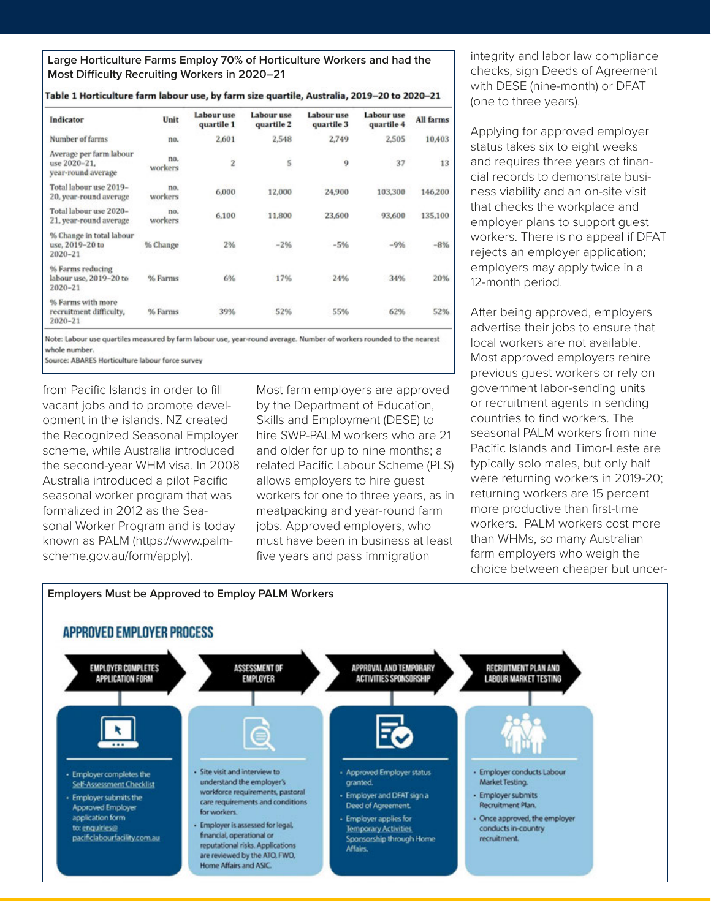**Large Horticulture Farms Employ 70% of Horticulture Workers and had the Most Difficulty Recruiting Workers in 2020–21**

Table 1 Horticulture form labour use, by form size quartile, Australia, 2018-20 to 2020-21

| Indicator                                                     | Unit           | Labour use<br>quartile 1 | Labour use<br>quartile 2 | Labour use<br>quartile 3 | Labour use<br>quartile 4 | All farms |
|---------------------------------------------------------------|----------------|--------------------------|--------------------------|--------------------------|--------------------------|-----------|
| Number of farms                                               | no.            | 2,601                    | 2,548                    | 2,749                    | 2,505                    | 10,403    |
| Average per farm labour<br>use 2020-21.<br>year-round average | no.<br>workers | 2                        | $\overline{\mathbf{5}}$  | 9                        | 37                       | 13        |
| Total labour use 2019-<br>20, year-round average              | no.<br>workers | 6,000                    | 12,000                   | 24,900                   | 103,300                  | 146,200   |
| Total labour use 2020-<br>21, year-round average              | no.<br>workers | 6,100                    | 11,800                   | 23,600                   | 93,600                   | 135,100   |
| % Change in total labour<br>use, 2019-20 to<br>2020-21        | % Change       | 2%                       | $-2%$                    | $-5%$                    | $-9%$                    | $-8%$     |
| % Farms reducing<br>labour use, 2019-20 to<br>2020-21         | % Farms        | 6%                       | 17%                      | 24%                      | 34%                      | 20%       |
| % Farms with more                                             |                |                          |                          |                          |                          |           |

Note: Labour use quartiles measured by farm labour use, year-round average. Number of workers rounded to the nearest whole number.

52%

**3000** 

Source: ABARES Horticulture labour force survey

% Farms

recruitment difficulty.

2020-21

from Pacific Islands in order to fill vacant jobs and to promote development in the islands. NZ created the Recognized Seasonal Employer scheme, while Australia introduced the second-year WHM visa. In 2008 Australia introduced a pilot Pacific seasonal worker program that was formalized in 2012 as the Seasonal Worker Program and is today known as PALM (https://www.palmscheme.gov.au/form/apply).

Most farm employers are approved by the Department of Education, Skills and Employment (DESE) to hire SWP-PALM workers who are 21 and older for up to nine months; a related Pacific Labour Scheme (PLS) allows employers to hire guest workers for one to three years, as in meatpacking and year-round farm jobs. Approved employers, who must have been in business at least five years and pass immigration

**EEG4** 

62%

52%

integrity and labor law compliance checks, sign Deeds of Agreement with DESE (nine-month) or DFAT (one to three years).

Applying for approved employer status takes six to eight weeks and requires three years of financial records to demonstrate business viability and an on-site visit that checks the workplace and employer plans to support guest workers. There is no appeal if DFAT rejects an employer application; employers may apply twice in a 12-month period.

After being approved, employers advertise their jobs to ensure that local workers are not available. Most approved employers rehire previous guest workers or rely on government labor-sending units or recruitment agents in sending countries to find workers. The seasonal PALM workers from nine Pacific Islands and Timor-Leste are typically solo males, but only half were returning workers in 2019-20; returning workers are 15 percent more productive than first-time workers. PALM workers cost more than WHMs, so many Australian farm employers who weigh the choice between cheaper but uncer-

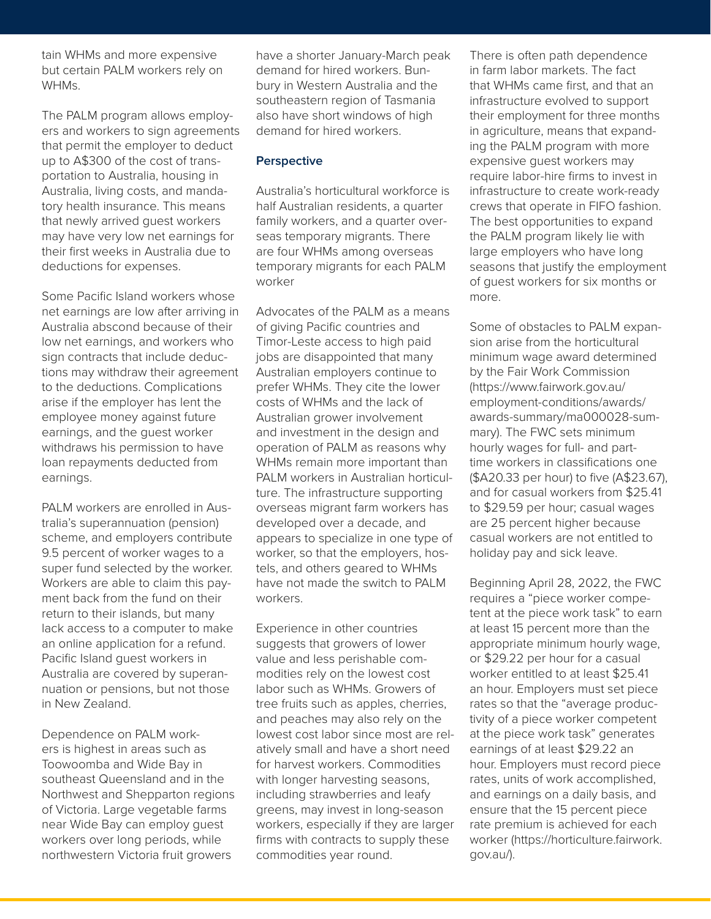tain WHMs and more expensive but certain PALM workers rely on WHMs.

The PALM program allows employers and workers to sign agreements that permit the employer to deduct up to A\$300 of the cost of transportation to Australia, housing in Australia, living costs, and mandatory health insurance. This means that newly arrived guest workers may have very low net earnings for their first weeks in Australia due to deductions for expenses.

Some Pacific Island workers whose net earnings are low after arriving in Australia abscond because of their low net earnings, and workers who sign contracts that include deductions may withdraw their agreement to the deductions. Complications arise if the employer has lent the employee money against future earnings, and the guest worker withdraws his permission to have loan repayments deducted from earnings.

PALM workers are enrolled in Australia's superannuation (pension) scheme, and employers contribute 9.5 percent of worker wages to a super fund selected by the worker. Workers are able to claim this payment back from the fund on their return to their islands, but many lack access to a computer to make an online application for a refund. Pacific Island guest workers in Australia are covered by superannuation or pensions, but not those in New Zealand.

Dependence on PALM workers is highest in areas such as Toowoomba and Wide Bay in southeast Queensland and in the Northwest and Shepparton regions of Victoria. Large vegetable farms near Wide Bay can employ guest workers over long periods, while northwestern Victoria fruit growers

have a shorter January-March peak demand for hired workers. Bunbury in Western Australia and the southeastern region of Tasmania also have short windows of high demand for hired workers.

#### **Perspective**

Australia's horticultural workforce is half Australian residents, a quarter family workers, and a quarter overseas temporary migrants. There are four WHMs among overseas temporary migrants for each PALM worker

Advocates of the PALM as a means of giving Pacific countries and Timor-Leste access to high paid jobs are disappointed that many Australian employers continue to prefer WHMs. They cite the lower costs of WHMs and the lack of Australian grower involvement and investment in the design and operation of PALM as reasons why WHMs remain more important than PALM workers in Australian horticulture. The infrastructure supporting overseas migrant farm workers has developed over a decade, and appears to specialize in one type of worker, so that the employers, hostels, and others geared to WHMs have not made the switch to PALM workers.

Experience in other countries suggests that growers of lower value and less perishable commodities rely on the lowest cost labor such as WHMs. Growers of tree fruits such as apples, cherries, and peaches may also rely on the lowest cost labor since most are relatively small and have a short need for harvest workers. Commodities with longer harvesting seasons, including strawberries and leafy greens, may invest in long-season workers, especially if they are larger firms with contracts to supply these commodities year round.

There is often path dependence in farm labor markets. The fact that WHMs came first, and that an infrastructure evolved to support their employment for three months in agriculture, means that expanding the PALM program with more expensive guest workers may require labor-hire firms to invest in infrastructure to create work-ready crews that operate in FIFO fashion. The best opportunities to expand the PALM program likely lie with large employers who have long seasons that justify the employment of guest workers for six months or more.

Some of obstacles to PALM expansion arise from the horticultural minimum wage award determined by the Fair Work Commission (https://www.fairwork.gov.au/ employment-conditions/awards/ awards-summary/ma000028-summary). The FWC sets minimum hourly wages for full- and parttime workers in classifications one (\$A20.33 per hour) to five (A\$23.67), and for casual workers from \$25.41 to \$29.59 per hour; casual wages are 25 percent higher because casual workers are not entitled to holiday pay and sick leave.

Beginning April 28, 2022, the FWC requires a "piece worker competent at the piece work task" to earn at least 15 percent more than the appropriate minimum hourly wage, or \$29.22 per hour for a casual worker entitled to at least \$25.41 an hour. Employers must set piece rates so that the "average productivity of a piece worker competent at the piece work task" generates earnings of at least \$29.22 an hour. Employers must record piece rates, units of work accomplished, and earnings on a daily basis, and ensure that the 15 percent piece rate premium is achieved for each worker (https://horticulture.fairwork. gov.au/).